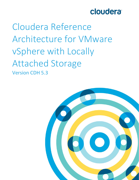# **cloudera**

Cloudera Reference Architecture for VMware vSphere with Locally Attached Storage Version CDH 5.3

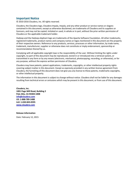### **Important Notice**

© 2010-2016 Cloudera, Inc. All rights reserved.

Cloudera, the Cloudera logo, Cloudera Impala, Impala, and any other product or service names or slogans contained in this document, except as otherwise disclaimed, are trademarks of Cloudera and its suppliers or licensors, and may not be copied, imitated or used, in whole or in part, without the prior written permission of Cloudera or the applicable trademark holder.

Hadoop and the Hadoop elephant logo are trademarks of the Apache Software Foundation. All other trademarks, registered trademarks, product names and company names or logos mentioned in this document are the property of their respective owners. Reference to any products, services, processes or other information, by trade name, trademark, manufacturer, supplier or otherwise does not constitute or imply endorsement, sponsorship or recommendation thereof by us.

Complying with all applicable copyright laws is the responsibility of the user. Without limiting the rights under copyright, no part of this document may be reproduced, stored in or introduced into a retrieval system, or transmitted in any form or by any means (electronic, mechanical, photocopying, recording, or otherwise), or for any purpose, without the express written permission of Cloudera.

Cloudera may have patents, patent applications, trademarks, copyrights, or other intellectual property rights covering subject matter in this document. Except as expressly provided in any written license agreement from Cloudera, the furnishing of this document does not give you any license to these patents, trademarks copyrights, or other intellectual property.

The information in this document is subject to change without notice. Cloudera shall not be liable for any damages resulting from technical errors or omissions which may be present in this document, or from use of this document.

**Cloudera, Inc. 1001 Page Mill Road, Building 2 Palo Alto, CA 94304-1008 [info@cloudera.com](mailto:info@cloudera.com) US: 1-888-789-1488 Intl: 1-650-843-0595 [www.cloudera.com](http://www.cloudera.com/)**

**Release Information**

Date: February 12, 2015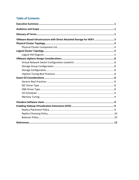# **Table of Contents**

| VMware-Based Infrastructure with Direct Attached Storage for HDFS  3 |  |
|----------------------------------------------------------------------|--|
|                                                                      |  |
|                                                                      |  |
|                                                                      |  |
|                                                                      |  |
|                                                                      |  |
|                                                                      |  |
|                                                                      |  |
|                                                                      |  |
|                                                                      |  |
|                                                                      |  |
|                                                                      |  |
|                                                                      |  |
|                                                                      |  |
|                                                                      |  |
|                                                                      |  |
|                                                                      |  |
|                                                                      |  |
|                                                                      |  |
|                                                                      |  |
|                                                                      |  |
|                                                                      |  |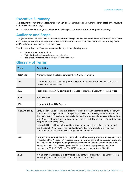# <span id="page-3-0"></span>**Executive Summary**

This document covers the architecture for running Cloudera Enterprise on VMware vSphere®-based infrastructure with locally attached Storage.

**NOTE: This is a work in progress and details will change as software versions and capabilities change.**

# <span id="page-3-1"></span>**Audience and Scope**

This guide is for IT architects who are responsible for the design and deployment of virtualized infrastructure in the data center, as well as for Hadoop administrators and architects who will be data center architects or engineers and/or collaborate with specialists in that space.

This document describes Cloudera recommendations on the following topics:

- Data network considerations
- Virtualization hardware/platform considerations
- Virtualization strategy for the Cloudera software stack

# <span id="page-3-2"></span>**Glossary of Terms**

| <b>Term</b>              | <b>Description</b>                                                                                                                                                                                                                                                                                                                                                                                                                                                                                                  |
|--------------------------|---------------------------------------------------------------------------------------------------------------------------------------------------------------------------------------------------------------------------------------------------------------------------------------------------------------------------------------------------------------------------------------------------------------------------------------------------------------------------------------------------------------------|
| <b>DataNode</b>          | Worker nodes of the cluster to which the HDFS data is written.                                                                                                                                                                                                                                                                                                                                                                                                                                                      |
| <b>DRS</b>               | Distributed Resource Scheduler (this is the software that controls movement of VMs and<br>storage on a vSphere cluster)                                                                                                                                                                                                                                                                                                                                                                                             |
| <b>HBA</b>               | Host bus adapter. An I/O controller that is used to interface a host with storage devices.                                                                                                                                                                                                                                                                                                                                                                                                                          |
| <b>HDD</b>               | Hard disk drive.                                                                                                                                                                                                                                                                                                                                                                                                                                                                                                    |
| <b>HDFS</b>              | Hadoop Distributed File System.                                                                                                                                                                                                                                                                                                                                                                                                                                                                                     |
| <b>High Availability</b> | Configuration that addresses availability issues in a cluster. In a standard configuration, the<br>NameNode is a single point of failure (SPOF). Each cluster has a single NameNode, and if<br>that machine or process became unavailable, the cluster as a whole is unavailable until the<br>NameNode is either restarted or brought up on a new host. The secondary NameNode does<br>not provide failover capability.<br>High availability enables running two NameNodes in the same cluster: the active NameNode |
|                          | and the standby NameNode. The standby NameNode allows a fast failover to a new<br>NameNode in case of machine crash or planned maintenance.                                                                                                                                                                                                                                                                                                                                                                         |
| <b>HVE</b>               | Hadoop Virtualization Extensions - this is what enables proper placement of data blocks and<br>scheduling of YARN jobs in a Virtualized Environment wherein, multiple copies of any single<br>block of data or YARN jobs (don't get placed/scheduled on VMs that reside on the same<br>hypervisor host). The YARN component of HVE is still work in progress and won't be<br>supported in CDH 5.3 (YARN-18). The HDFS component is supported in CDH 5.3.                                                            |
| <b>JBOD</b>              | Just a Bunch of Disks (this is in contrast to Disks configured via software or hardware RAID<br>with striping and redundancy mechanisms for data protection)                                                                                                                                                                                                                                                                                                                                                        |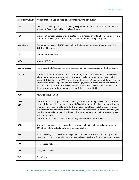| <b>Job History Server</b> | Process that archives job metrics and metadata. One per cluster.                                                                                                                                                                                                                                                                                                                                                                                                                                                                                                           |  |  |
|---------------------------|----------------------------------------------------------------------------------------------------------------------------------------------------------------------------------------------------------------------------------------------------------------------------------------------------------------------------------------------------------------------------------------------------------------------------------------------------------------------------------------------------------------------------------------------------------------------------|--|--|
| <b>LBT</b>                | Load-based teaming. - this is a teaming (LBT) policy that is traffic-load-aware and ensures<br>physical NIC capacity in a NIC team is optimized.                                                                                                                                                                                                                                                                                                                                                                                                                           |  |  |
| <b>LUN</b>                | Logical unit number. Logical units allocated from a storage array to a host. This looks like a<br>SCSI disk to the host, but it is only a logical volume on the storage array side.                                                                                                                                                                                                                                                                                                                                                                                        |  |  |
| <b>NameNode</b>           | The metadata master of HDFS essential for the integrity and proper functioning of the<br>distributed filesystem.                                                                                                                                                                                                                                                                                                                                                                                                                                                           |  |  |
| <b>NIC</b>                | Network interface card.                                                                                                                                                                                                                                                                                                                                                                                                                                                                                                                                                    |  |  |
| <b>NIOC</b>               | Network I/O Control.                                                                                                                                                                                                                                                                                                                                                                                                                                                                                                                                                       |  |  |
| NodeManager               | The process that starts application processes and manages resources on the DataNodes.                                                                                                                                                                                                                                                                                                                                                                                                                                                                                      |  |  |
| <b>NUMA</b>               | Non-uniform memory access. Addresses memory access latency in multi-socket servers,<br>where memory that is remote to a core (that is, local to another socket) needs to be<br>accessed. This is typical of SMP (symmetric multiprocessing) systems, and there are several<br>strategies to optimize applications and operating systems. vSphere can be optimized for<br>NUMA. It can also present the NUMA architecture to the virtualized guest OS, which can<br>then leverage it to optimize memory access. This is called vNUMA.                                       |  |  |
| <b>PDU</b>                | Power distribution unit.                                                                                                                                                                                                                                                                                                                                                                                                                                                                                                                                                   |  |  |
| QJM<br>QJN                | Quorum Journal Manager. Provides a fencing mechanism for high availability in a Hadoop<br>cluster. This service is used to distribute HDFS edit logs to multiple hosts (at least three are<br>required) from the active NameNode. The standby NameNode reads the edits from the<br>JournalNodes and constantly applies them to its own namespace. In case of a failover, the<br>standby NameNode applies all of the edits from the JournalNodes before promoting itself<br>to the active state.<br>Quorum JournalNodes. Nodes on which the journal services are installed. |  |  |
| <b>RDM</b>                | Raw device mappings. Used to configure storage devices (usually logical unit numbers<br>(LUNs)) directly to virtual machines running on vSphere.                                                                                                                                                                                                                                                                                                                                                                                                                           |  |  |
| <b>RM</b>                 | ResourceManager. The resource management component of YARN. This initiates application<br>startup and controls scheduling on the DataNodes of the cluster (one instance per cluster).                                                                                                                                                                                                                                                                                                                                                                                      |  |  |
| <b>SAN</b>                | Storage area network.                                                                                                                                                                                                                                                                                                                                                                                                                                                                                                                                                      |  |  |
| <b>SIOC</b>               | Storage I/O Control.                                                                                                                                                                                                                                                                                                                                                                                                                                                                                                                                                       |  |  |
| <b>ToR</b>                | Top of rack.                                                                                                                                                                                                                                                                                                                                                                                                                                                                                                                                                               |  |  |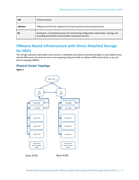| <b>VM</b> | Virtual machine.                                                                                                                                     |
|-----------|------------------------------------------------------------------------------------------------------------------------------------------------------|
| vMotion   | VMware term for live migration of virtual machines across physical hosts.                                                                            |
| <b>ZK</b> | Zookeeper. A centralized service for maintaining configuration information, naming, and<br>providing distributed synchronization and group services. |

# <span id="page-5-0"></span>**VMware-Based Infrastructure with Direct Attached Storage for HDFS**

The storage subsystem described in this section is completely local (direct attached storage) on each vSphere host, and the VMs access the disks by one-to-one mapping of physical disks to vSphere VMFS virtual disks, or by raw device mappings (RDMs).

## <span id="page-5-1"></span>**Physical Cluster Topology**

**Figure 1**



Rack A1R1

Rack A1R2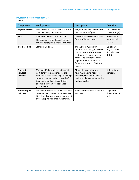## <span id="page-6-0"></span>**Physical Cluster Component List**

**Table 1**

| <b>Component</b>                        | <b>Configuration</b>                                                                                                                                                                                                                                           | <b>Description</b>                                                                                                                                                                                                                       | <b>Quantity</b>                                          |
|-----------------------------------------|----------------------------------------------------------------------------------------------------------------------------------------------------------------------------------------------------------------------------------------------------------------|------------------------------------------------------------------------------------------------------------------------------------------------------------------------------------------------------------------------------------------|----------------------------------------------------------|
| <b>Physical servers</b>                 | Two-socket, 6-10 cores per socket > 2<br>GHz; minimally 256GB RAM.                                                                                                                                                                                             | ESX/VMware hosts that house<br>the various VMs/guests.                                                                                                                                                                                   | TBD (based on<br>cluster design)                         |
| <b>NICs</b>                             | Dual-port 10 Gbps Ethernet NICs.<br>The connector type depends on the<br>network design; could be SFP+ or Twinax.                                                                                                                                              | Provide the data network services<br>for the VMware cluster.                                                                                                                                                                             | At least two<br>per physical<br>server.                  |
| <b>Internal HDDs</b>                    | Standard OS sizes.                                                                                                                                                                                                                                             | The vSphere hypervisor<br>requires little storage, so size is<br>not important. These ensure<br>continuity of service on server<br>resets. The number of drives<br>depends on the server form<br>factor and internal HDD form<br>factor. | 12-24 per<br>physical server<br>(including OS<br>disks). |
| <b>Ethernet</b><br>ToR/leaf<br>switches | Minimally 10 Gbps switches with sufficient<br>port density to accommodate the<br>VMware cluster. These require enough<br>ports to create a realistic spine-leaf<br>topology providing ISL bandwidth<br>above a 1:4 oversubscription ratio<br>(preferably 1:1). | Although most enterprises<br>have mature data network<br>practices, consider building a<br>dedicated data network for the<br>Hadoop cluster.                                                                                             | At least two<br>per rack.                                |
| <b>Ethernet spine</b><br>switches       | Minimally 10 Gbps switches with sufficient<br>port density to accommodate incoming<br>ISL links and ensure required throughput<br>over the spine (for inter-rack traffic).                                                                                     | Same considerations as for ToR<br>switches.                                                                                                                                                                                              | Depends on<br>the number of<br>racks.                    |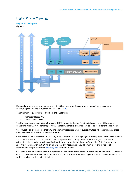## <span id="page-7-0"></span>**Logical Cluster Topology**

#### <span id="page-7-1"></span>**Logical VM Diagram Figure 2**



Do not allow more than one replica of an HDFS block on any particular physical node. This is ensured by configuring the Hadoop Virtualization Extensions [\(HVE\)](https://docs.google.com/a/cloudera.com/document/d/1Cv8r-3kMni0zLznlEqfwaMtDhuVmPz8lT97GdnLVR0U/edit%23heading=h.ucradzoted89).

The minimum requirements to build out the cluster are:

- 3x Master Nodes (VMs)
- 5x DataNodes (VMs)

The DataNode count depends on the size of HDFS storage to deploy. For simplicity, ensure that DataNodes cohabitate with YARN NodeManager roles. The following table identifies service roles for different node types.

Care must be taken to ensure that CPU and Memory resources are not overcommitted while provisioning these node instances on the virtualized infrastructure.

Craft Distributed Resource Scheduler (DRS) rules so that there is strong negative affinity between the master node VMs. This ensures that no two master nodes are provisioned or migrated to the same physical vSphere host. Alternately, this can also be achieved fairly easily when provisioning through vSphere Big Data Extensions by specifying "instancePerHost=1" which asserts that any host server should have at most one instance of a MasterNode VM (reference th[e BDE CLI guide](http://pubs.vmware.com/bde-1/topic/com.vmware.ICbase/PDF/vsphere-big-data-extensions-10-command-line-guide.pdf) for more details)

Care should also be taken to ensure automated movement of VMs is disabled. There should be no DRS or vMotion of VMs allowed in this deployment model. This is critical as VMs are tied to physical disks and movement of VMs within the cluster will result in data loss.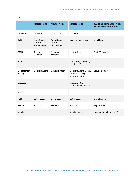|                              | <b>Master Node</b>                  | <b>Master Node</b>                 | <b>Master Node</b>                                                        | <b>YARN NodeManager Nodes</b><br>/HDFS Data Nodes 1n |
|------------------------------|-------------------------------------|------------------------------------|---------------------------------------------------------------------------|------------------------------------------------------|
| ZooKeeper                    | ZooKeeper                           | ZooKeeper                          | ZooKeeper                                                                 |                                                      |
| <b>HDFS</b>                  | NameNode,<br>Quorum<br>Journal Node | NameNode,<br>Quorum<br>JournalNode | Quorum JournalNode                                                        | DataNode                                             |
| <b>YARN</b>                  | Resource<br>Manager                 | Resource<br>Manager                | <b>History Server</b>                                                     | NodeManager                                          |
| <b>Hive</b>                  |                                     |                                    | MetaStore, WebHCat,<br>HiveServer2                                        |                                                      |
| <b>Management</b><br>(misc.) | Cloudera Agent                      | Cloudera Agent                     | Cloudera Agent, Oozie,<br>Cloudera Manager,<br><b>Management Services</b> | Cloudera Agent                                       |
| <b>Navigator</b>             |                                     |                                    | Navigator, Key<br><b>Management Services</b>                              |                                                      |
| <b>HUE</b>                   |                                     |                                    | <b>HUE</b>                                                                |                                                      |
| <b>SOLR</b>                  | Out of scope                        | Out of scope                       | Out of scope                                                              | Out of scope                                         |
| <b>HBASE</b>                 | <b>HMaster</b>                      | <b>HMaster</b>                     | <b>HMaster</b>                                                            | RegionServer                                         |
| Impala                       |                                     |                                    | Impala Statestore                                                         | Impalad (Impala Daemon)                              |

#### **Table 2**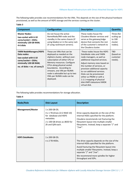The following table provides size recommendations for the VMs. This depends on the size of the physical hardware provisioned, as well as the amount of HDFS storage and the services running on the cluster.

#### **Table 3**

| <b>Component</b>                                                                                                                                       | Configuration                                                                                                                                                                                                                                                                                                             | <b>Description</b>                                                                                                                                                                                                                                                                                                                                                                    | <b>Quantity</b>                                          |
|--------------------------------------------------------------------------------------------------------------------------------------------------------|---------------------------------------------------------------------------------------------------------------------------------------------------------------------------------------------------------------------------------------------------------------------------------------------------------------------------|---------------------------------------------------------------------------------------------------------------------------------------------------------------------------------------------------------------------------------------------------------------------------------------------------------------------------------------------------------------------------------------|----------------------------------------------------------|
| <b>Master Nodes:</b><br>two-socket with 6-10<br>cores/socket > 2GHz;<br>minimally 128 GB RAM;<br>4-6 disks                                             | Do not house the active<br>NameNode/RM node and the<br>standby in the same chassis (if<br>using blades) or in the same rack<br>(if using rackmount servers).                                                                                                                                                              | These nodes house the<br>Cloudera Master services and<br>serve as the gateway/edge<br>device that connects the rest<br>of the customer's network to<br>the Cloudera cluster.                                                                                                                                                                                                          | Three (for<br>scaling up<br>to 100<br>cluster<br>nodes). |
| <b>YARN NodeManagers/HDFS</b><br>Data nodes:<br>two-socket with 6-10<br>cores/socket > 2GHz;<br>minimally 128 GB RAM;<br>no. of disks = no. of cores/2 | These are VMs that can be<br>deployed as needed on the<br>vSphere cluster, without over-<br>subscription of either CPU or<br>Memory resources. Configure<br>CPUs along physical socket<br>boundaries. According to<br>vmware, one VM per NUMA<br>node is advisable but up to two<br>VMs per NUMA node can be<br>deployed. | These nodes house the HDFS<br>DataNode roles and YARN<br>node managers, as well as<br>additional required services.<br>Adjust memory sizes based on<br>the number of services, or<br>provision additional capacity<br>to run additional services.<br>Disks can be provisioned<br>either as PRDM or with a<br>1:1:1 mapping of physical<br>disk: VMFS datastore: VMDK<br>virtual disk. | <b>TBD</b><br>(based on<br>customer<br>needs).           |

The following table provides recommendations for storage allocation.

#### **Table 4**

| Node/Role                | <b>Disk Layout</b>                                                                                                                                | <b>Description</b>                                                                                                                                                                                                                                                                      |
|--------------------------|---------------------------------------------------------------------------------------------------------------------------------------------------|-----------------------------------------------------------------------------------------------------------------------------------------------------------------------------------------------------------------------------------------------------------------------------------------|
| <b>Management/Master</b> | 1 x 200 GB OS.<br>$4 \times 1$ TB drives (2+2 RAID 10)<br>for database and HDFS<br>metadata.<br>2 x 100 GB drives as JBOD for<br>ZK and QJN each. | Drive capacity depends on the size of the<br>internal HDDs specified for the platform.<br>Cloudera recommends not fracturing the<br>filesystem layout into multiple smaller<br>filesystems. Instead, keep a separate "/" and<br>"/var".                                                 |
| <b>HDFS DataNodes</b>    | $1 \times 200$ GB OS.<br>$n \times 2$ TB HDDs.                                                                                                    | The drive capacity depends on the size of the<br>internal HDDs specified for the platform.<br>Avoid fracturing the filesystem layout into<br>multiple smaller filesystems. Instead, keep a<br>separate "/" and "/var".<br>We recommend more spindles for higher<br>throughput and IOPs. |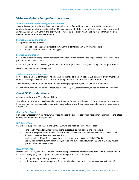## <span id="page-10-0"></span>**VMware vSphere Design Considerations**

#### <span id="page-10-1"></span>**Virtual Network Switch Configuration (vswitch)**

Standard vswitches may be employed, which need to be configured for each ESXi host in the cluster. Key configuration parameter to consider is the MTU size to ensure that the same MTU size being set at the physical switches, guest OS, ESXi VMNIC and the vswitch layers. This is relevant when enabling jumbo frames, which is recommended for Hadoop environments.

#### <span id="page-10-2"></span>**Storage Group Configuration**

Each provisioned disk is either -

- mapped to one vSphere datastore (which in turn contains one VMDK or virtual disk) or
- mapped to one raw device mapping (RDM)

#### <span id="page-10-3"></span>**Storage Configuration**

Set up virtual disks in "independent persistent" mode for optimal performance. Eager Zeroed Thick virtual disks provide the best performance.

Partition alignment at the VMFS layer depends on the storage vendor. Misaligned storage impacts performance.

Disable SIOC, and disable storage DRS.

#### <span id="page-10-4"></span>**vSphere Tuning Best Practices**

Power Policy is an ESXi parameter. The balanced mode may be the best option. Evaluate your environment and choose accordingly. In some cases, performance might be more important than power optimization.

Avoid memory and CPU over-commitment, and use large pages for Hypervisor (which is the default).

For network tuning, enable advanced features such as TSO, LRO, scatter gather, and so on interrupt coalescing.

## <span id="page-10-5"></span>**Guest OS Considerations**

Assume that the guest OS is a flavor of Linux.

Special tuning parameters may be needed to optimize performance of the guest OS in a virtualized environment. In general, normal tuning guidelines apply, but specific tuning might be needed depending on the virtualization driver used.

#### <span id="page-10-6"></span>**Generic Best Practices**

Minimize unnecessary virtual hardware devices. Choose the appropriate virtual hardware version; check the latest version and understand its capabilities.

#### <span id="page-10-7"></span>**NIC Driver Type**

VMXNET3 is supported in RHEL 6.x and CentOS 6.x with the installation of VMware tools.

- Tune the MTU size for jumbo frames at the guest level as well as ESXi and switch level.
- Enable TCP segmentation offload (TSO) at the ESXi level (should be enabled by default). Only VMXNET3 drivers at the Guest layer can leverage this.
- Similarly, other offload features can be leveraged only when using the VMXNET3 driver.
- Use regular platform tuning parameters, such as ring buffer size. However, RSS and RPS tuning must be specific to the VMXNET3 driver.

#### <span id="page-10-8"></span>**HBA Driver Type**

Use the PVSCSI storage adapter. This provides the best performance characteristics (reduced CPU utilization and increased throughput), and is optimal for I/O-intensive guests (as with Hadoop).

- Tune queue depth in the guest OS SCSI driver.
- Disk partition alignment -- Typically if VMFS is already aligned, this is not necessary (TBD for Linux).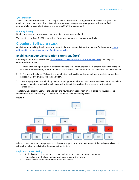#### <span id="page-11-0"></span>**I/O Scheduler**

The I/O scheduler used for the OS disks might need to be different if using VMDKS. Instead of using CFQ, use deadline or noop elevators. This varies and must be tested. Any performance gains must be quantified appropriately; for example, 1-2% improvement vs. 10-20% improvement).

#### <span id="page-11-1"></span>**Memory Tuning**

Disable or minimize anonymous paging by setting vm.swappiness=0 or 1.

VMs that fit on a single NUMA node will get 100% local memory accesses automatically.

# <span id="page-11-2"></span>**Cloudera Software stack**

Guidelines for installing the Cloudera stack on this platform are nearly identical to those for bare-metal. [This is](http://www.cloudera.com/content/cloudera/en/documentation.html)  addressed in [various documents on Cloudera's website.](http://www.cloudera.com/content/cloudera/en/documentation.html)

## <span id="page-11-3"></span>**Enabling Hadoop Virtualization Extensions (HVE)**

Referring to the HDFS-side HVE JIRA [\(https://issues.apache.org/jira/browse/HADOOP-8468\)](https://issues.apache.org/jira/browse/HADOOP-8468), following are considerations for HVE:

- 1. 1. VMs on the same physical host are affected by the same hardware failure. In order to match the reliability of a physical deployment, replication of data across two virtual machines on the same host should be avoided.
- 2. 2. The network between VMs on the same physical host has higher throughput and lower latency and does not consume any physical switch bandwidth.
- 3. Thus, we propose to make hadoop network topology extendable and introduce a new level in the hierarchical topology, a node group level, which maps well onto an infrastructure that is based on a virtualized environment.

The following diagram illustrates the addition of a new layer of abstraction (in red) called NodeGroups. The NodeGroups represent the physical hypervisor on which the nodes (VMs) reside.

#### **Figure 3**



All VMs under the same node group run on the same physical host. With awareness of the node group layer, HVE refines the following policies for Hadoop on virtualization:

#### <span id="page-11-4"></span>**Replica Placement Policy**

- No duplicated replicas are on the same node or nodes under the same node group.
- First replica is on the local node or local node group of the writer.
- Second replica is on a remote rack of the first replica.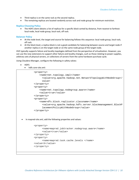- Third replica is on the same rack as the second replica.
- The remaining replicas are located randomly across rack and node group for minimum restriction.

#### <span id="page-12-0"></span>**Replica Choosing Policy**

• The HDFS client obtains a list of replicas for a specific block sorted by distance, from nearest to farthest: local node, local node group, local rack, off rack.

#### <span id="page-12-1"></span>**Balancer Policy**

- At the node level, the target and source for balancing follows this sequence: local node group, local rack, off rack.
- At the block level, a replica block is not a good candidate for balancing between source and target node if another replica is on the target node or on the same node group of the target node.

HVE typically supports failure and locality topologies defined from the perspective of virtualization. However, you can use the new extensions to support other failure and locality changes, such as those relating to power supplies, arbitrary sets of physical servers, or collections of servers from the same hardware purchase cycle.

Using Cloudera Manager, configure the following in safety valves:

- HDFS
	- hdfs core-site.xml:

```
<property>
    <name>net.topology.impl</name>
      <value>org.apache.hadoop.net.NetworkTopologyWithNodeGroup</
      value>
</property>
<property>
    <name>net.topology.nodegroup.aware</name>
    <value>true</value>
</property>
<property>
    <name>dfs.block.replicator.classname</name> 
      <value>org.apache.hadoop.hdfs.server.blockmanagement.BlockP
      lacementPolicyWithNodeGroup</value>
</property>
```
• In mapred-site.xml, add the following properties and values:

```
<property>
      <name>mapred.jobtracker.nodegroup.aware</name>
      <value>true</value>
</property>
<property>
      <name>mapred.task.cache.levels </name>
<value>3</value>
</property>
```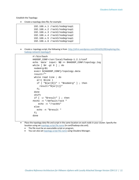Establish the Topology:

• Create a topology data file; for example:

|  | 192.168.x.1 /rack1/nodegroup1   |
|--|---------------------------------|
|  | 192.168.x.2 /rack1/nodegroup1   |
|  | 192.168.x.3 /rack2/nodegroup1   |
|  | $192.168.x.4$ /rack2/nodegroup2 |
|  | $192.168.x.5$ /rack3/nodegroup1 |
|  | $192.168.x.6$ /rack3/nodegroup2 |

• Create a topology script; the following is from [http://ofirm.wordpress.com/2014/01/09/exploring-the](http://ofirm.wordpress.com/2014/01/09/exploring-the-hadoop-network-topology/)[hadoop-network-topology/\)](http://ofirm.wordpress.com/2014/01/09/exploring-the-hadoop-network-topology/)

```
#!/bin/bash 
HADOOP_CONF=/usr/local/hadoop-1.2.1/conf
echo `date` input: $@ >> $HADOOP_CONF/topology.log
while [s# -gt 0] ; do
 nodeArg=$1
 exec< ${HADOOP_CONF}/topology.data
 result=""
 while read line ; do
   ar=( $line )
   if [ "\frac{1}{2}{ar[0]}" = "$nodeArg" ] ; then
     result='${ar[1]}"fi
 done
 shift
 if [ -z "$result" ] ; then
#echo -n "/default/rack "
    echo -n "/rack01"
 else
   echo -n "$result "
 fi
done
```
- Place the topology data file and script in the same location on each node in your cluster. Specify the location using set [topology.script.file.name](http://topology.script.file.name/) (in conf/hadoop-site.xml).
	- The file must be an executable script or program.
	- You can also set **topology.script.file.name** using Cloudera Manager.